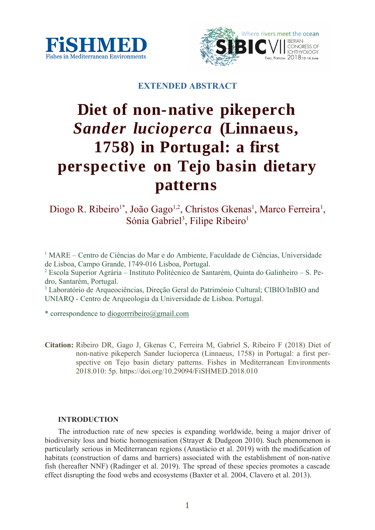



## **EXTENDED ABSTRACT**

# **Diet of non-native pikeperch** *Sander lucioperca* **(Linnaeus, 1758) in Portugal: a first perspective on Tejo basin dietary patterns**

Diogo R. Ribeiro<sup>1\*</sup>, João Gago<sup>1,2</sup>, Christos Gkenas<sup>1</sup>, Marco Ferreira<sup>1</sup>, Sónia Gabriel<sup>3</sup>, Filipe Ribeiro<sup>1</sup>

<sup>1</sup> MARE – Centro de Ciências do Mar e do Ambiente, Faculdade de Ciências, Universidade de Lisboa, Campo Grande, 1749-016 Lisboa, Portugal.

2 Escola Superior Agrária – Instituto Politécnico de Santarém, Quinta do Galinheiro – S. Pedro, Santarém, Portugal.

3 Laboratório de Arqueociências, Direção Geral do Património Cultural; CIBIO/InBIO and UNIARQ - Centro de Arqueologia da Universidade de Lisboa. Portugal.

\* correspondence to diogorrribeiro@gmail.com

**Citation:** Ribeiro DR, Gago J, Gkenas C, Ferreira M, Gabriel S, Ribeiro F (2018) Diet of non-native pikeperch Sander lucioperca (Linnaeus, 1758) in Portugal: a first perspective on Tejo basin dietary patterns. Fishes in Mediterranean Environments 2018.010: 5p. https://doi.org/10.29094/FiSHMED.2018.010

### **INTRODUCTION**

The introduction rate of new species is expanding worldwide, being a major driver of biodiversity loss and biotic homogenisation (Strayer & Dudgeon 2010). Such phenomenon is particularly serious in Mediterranean regions (Anastácio et al. 2019) with the modification of habitats (construction of dams and barriers) associated with the establishment of non-native fish (hereafter NNF) (Radinger et al. 2019). The spread of these species promotes a cascade effect disrupting the food webs and ecosystems (Baxter et al. 2004, Clavero et al. 2013).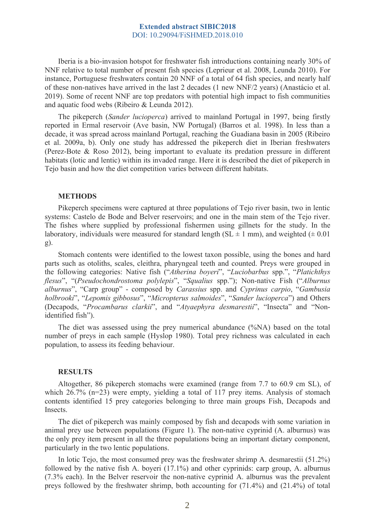Iberia is a bio-invasion hotspot for freshwater fish introductions containing nearly 30% of NNF relative to total number of present fish species (Leprieur et al. 2008, Leunda 2010). For instance, Portuguese freshwaters contain 20 NNF of a total of 64 fish species, and nearly half of these non-natives have arrived in the last 2 decades (1 new NNF/2 years) (Anastácio et al. 2019). Some of recent NNF are top predators with potential high impact to fish communities and aquatic food webs (Ribeiro & Leunda 2012).

The pikeperch (*Sander lucioperca*) arrived to mainland Portugal in 1997, being firstly reported in Ermal reservoir (Ave basin, NW Portugal) (Barros et al. 1998). In less than a decade, it was spread across mainland Portugal, reaching the Guadiana basin in 2005 (Ribeiro et al. 2009a, b). Only one study has addressed the pikeperch diet in Iberian freshwaters (Perez-Bote & Roso 2012), being important to evaluate its predation pressure in different habitats (lotic and lentic) within its invaded range. Here it is described the diet of pikeperch in Tejo basin and how the diet competition varies between different habitats.

#### **METHODS**

Pikeperch specimens were captured at three populations of Tejo river basin, two in lentic systems: Castelo de Bode and Belver reservoirs; and one in the main stem of the Tejo river. The fishes where supplied by professional fishermen using gillnets for the study. In the laboratory, individuals were measured for standard length (SL  $\pm$  1 mm), and weighted ( $\pm$  0.01 g).

Stomach contents were identified to the lowest taxon possible, using the bones and hard parts such as otoliths, scales, cleithra, pharyngeal teeth and counted. Preys were grouped in the following categories: Native fish ("*Atherina boyeri*", "*Luciobarbus* spp.", "*Platichthys flesus*", "(*Pseudochondrostoma polylepis*", "*Squalius* spp."); Non-native Fish ("*Alburnus alburnus*", "Carp group" - composed by *Carassius* spp. and *Cyprinus carpio*, "*Gambusia holbrooki*", "*Lepomis gibbosus*", "*Micropterus salmoides*", "*Sander lucioperca*") and Others (Decapods, "*Procambarus clarkii*", and "*Atyaephyra desmarestii*", "Insecta" and "Nonidentified fish").

The diet was assessed using the prey numerical abundance (%NA) based on the total number of preys in each sample (Hyslop 1980). Total prey richness was calculated in each population, to assess its feeding behaviour.

#### **RESULTS**

Altogether, 86 pikeperch stomachs were examined (range from 7.7 to 60.9 cm SL), of which 26.7% (n=23) were empty, yielding a total of 117 prey items. Analysis of stomach contents identified 15 prey categories belonging to three main groups Fish, Decapods and Insects.

The diet of pikeperch was mainly composed by fish and decapods with some variation in animal prey use between populations (Figure 1). The non-native cyprinid (A. alburnus) was the only prey item present in all the three populations being an important dietary component, particularly in the two lentic populations.

In lotic Tejo, the most consumed prey was the freshwater shrimp A. desmarestii (51.2%) followed by the native fish A. boyeri (17.1%) and other cyprinids: carp group, A. alburnus (7.3% each). In the Belver reservoir the non-native cyprinid A. alburnus was the prevalent preys followed by the freshwater shrimp, both accounting for (71.4%) and (21.4%) of total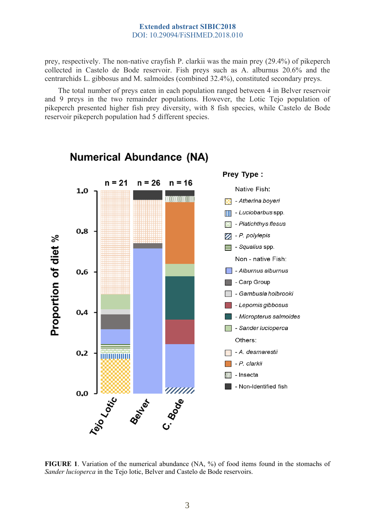prey, respectively. The non-native crayfish P. clarkii was the main prey (29.4%) of pikeperch collected in Castelo de Bode reservoir. Fish preys such as A. alburnus 20.6% and the centrarchids L. gibbosus and M. salmoides (combined 32.4%), constituted secondary preys.

The total number of preys eaten in each population ranged between 4 in Belver reservoir and 9 preys in the two remainder populations. However, the Lotic Tejo population of pikeperch presented higher fish prey diversity, with 8 fish species, while Castelo de Bode reservoir pikeperch population had 5 different species.



## **Numerical Abundance (NA)**

**FIGURE 1**. Variation of the numerical abundance (NA, %) of food items found in the stomachs of *Sander lucioperca* in the Tejo lotic, Belver and Castelo de Bode reservoirs.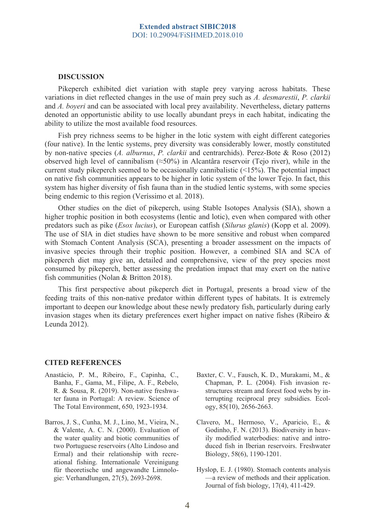#### **DISCUSSION**

Pikeperch exhibited diet variation with staple prey varying across habitats. These variations in diet reflected changes in the use of main prey such as *A. desmarestii*, *P. clarkii* and *A. boyeri* and can be associated with local prey availability. Nevertheless, dietary patterns denoted an opportunistic ability to use locally abundant preys in each habitat, indicating the ability to utilize the most available food resources.

Fish prey richness seems to be higher in the lotic system with eight different categories (four native). In the lentic systems, prey diversity was considerably lower, mostly constituted by non-native species (*A. alburnus*, *P. clarkii* and centrarchids). Perez-Bote & Roso (2012) observed high level of cannibalism ( $\approx$ 50%) in Alcantâra reservoir (Tejo river), while in the current study pikeperch seemed to be occasionally cannibalistic (<15%). The potential impact on native fish communities appears to be higher in lotic system of the lower Tejo. In fact, this system has higher diversity of fish fauna than in the studied lentic systems, with some species being endemic to this region (Veríssimo et al. 2018).

Other studies on the diet of pikeperch, using Stable Isotopes Analysis (SIA), shown a higher trophic position in both ecosystems (lentic and lotic), even when compared with other predators such as pike (*Esox lucius*), or European catfish (*Silurus glanis*) (Kopp et al. 2009). The use of SIA in diet studies have shown to be more sensitive and robust when compared with Stomach Content Analysis (SCA), presenting a broader assessment on the impacts of invasive species through their trophic position. However, a combined SIA and SCA of pikeperch diet may give an, detailed and comprehensive, view of the prey species most consumed by pikeperch, better assessing the predation impact that may exert on the native fish communities (Nolan & Britton 2018).

This first perspective about pikeperch diet in Portugal, presents a broad view of the feeding traits of this non-native predator within different types of habitats. It is extremely important to deepen our knowledge about these newly predatory fish, particularly during early invasion stages when its dietary preferences exert higher impact on native fishes (Ribeiro & Leunda 2012).

#### **CITED REFERENCES**

- Anastácio, P. M., Ribeiro, F., Capinha, C., Banha, F., Gama, M., Filipe, A. F., Rebelo, R. & Sousa, R. (2019). Non-native freshwater fauna in Portugal: A review. Science of The Total Environment, 650, 1923-1934.
- Barros, J. S., Cunha, M. J., Lino, M., Vieira, N., & Valente, A. C. N. (2000). Evaluation of the water quality and biotic communities of two Portuguese reservoirs (Alto Lindoso and Ermal) and their relationship with recreational fishing. Internationale Vereinigung für theoretische und angewandte Limnologie: Verhandlungen, 27(5), 2693-2698.
- Baxter, C. V., Fausch, K. D., Murakami, M., & Chapman, P. L. (2004). Fish invasion restructures stream and forest food webs by interrupting reciprocal prey subsidies. Ecology, 85(10), 2656-2663.
- Clavero, M., Hermoso, V., Aparicio, E., & Godinho, F. N. (2013). Biodiversity in heavily modified waterbodies: native and introduced fish in Iberian reservoirs. Freshwater Biology, 58(6), 1190-1201.
- Hyslop, E. J. (1980). Stomach contents analysis —a review of methods and their application. Journal of fish biology, 17(4), 411-429.